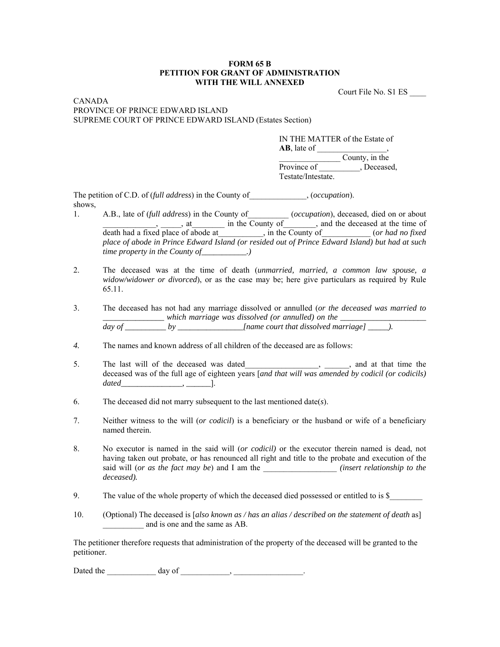## **FORM 65 B PETITION FOR GRANT OF ADMINISTRATION WITH THE WILL ANNEXED**

Court File No. S1 ES \_\_\_\_

## CANADA PROVINCE OF PRINCE EDWARD ISLAND SUPREME COURT OF PRINCE EDWARD ISLAND (Estates Section)

IN THE MATTER of the Estate of **AB**, late of \_\_\_\_\_\_\_\_\_\_\_\_\_\_\_\_\_, \_\_\_\_\_\_\_\_\_\_\_\_\_\_\_ County, in the Province of Flower Deceased, Testate/Intestate.

The petition of C.D. of (*full address*) in the County of  $(ocup$ , (*occupation*). shows,

- 1. A.B., late of *(full address)* in the County of *(occupation*), deceased, died on or about external county of the County of the deceased at the time of  $\overline{\phantom{a}}$ , and the deceased at the time of death had a fixed place of abode at\_\_\_\_\_\_\_\_\_\_\_, in the County of\_\_\_\_\_\_\_\_\_\_\_\_ (*or had no fixed place of abode in Prince Edward Island (or resided out of Prince Edward Island) but had at such time property in the County of*\_\_\_\_\_\_\_\_\_\_.)
- 2. The deceased was at the time of death (*unmarried, married, a common law spouse, a widow/widower or divorced*), or as the case may be; here give particulars as required by Rule 65.11.
- 3. The deceased has not had any marriage dissolved or annulled (*or the deceased was married to \_\_\_\_\_\_\_\_\_\_\_\_\_\_\_ which marriage was dissolved (or annulled) on the \_\_\_\_\_\_\_\_\_\_\_\_\_\_\_\_\_\_\_\_\_ day of \_\_\_\_\_\_\_\_\_\_ by \_\_\_\_\_\_\_\_\_\_\_\_\_\_\_\_[name court that dissolved marriage] \_\_\_\_\_).*
- *4.* The names and known address of all children of the deceased are as follows:
- 5. The last will of the deceased was dated  $\qquad \qquad$ ,  $\qquad$ , and at that time the deceased was of the full age of eighteen years [*and that will was amended by codicil (or codicils) dated\_\_\_\_\_\_\_\_\_\_\_\_\_\_\_, \_\_\_\_\_\_*].
- 6. The deceased did not marry subsequent to the last mentioned date(*s*).
- 7. Neither witness to the will (*or codicil*) is a beneficiary or the husband or wife of a beneficiary named therein.
- 8. No executor is named in the said will (*or codicil)* or the executor therein named is dead, not having taken out probate, or has renounced all right and title to the probate and execution of the said will (*or as the fact may be*) and I am the \_\_\_\_\_\_\_\_\_\_\_\_\_\_\_\_\_\_ *(insert relationship to the deceased).*
- 9. The value of the whole property of which the deceased died possessed or entitled to is \$
- 10. (Optional) The deceased is [*also known as / has an alias / described on the statement of death* as] \_\_\_\_\_\_\_\_\_\_ and is one and the same as AB.

The petitioner therefore requests that administration of the property of the deceased will be granted to the petitioner.

Dated the day of the day of the control of the control of the control of the control of the control of the control of the control of the control of the control of the control of the control of the control of the control of